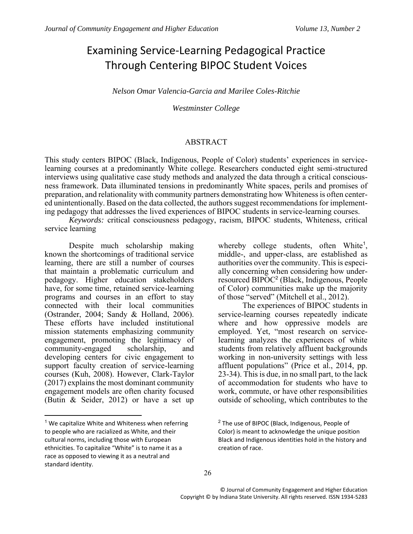# Examining Service-Learning Pedagogical Practice Through Centering BIPOC Student Voices

*Nelson Omar Valencia-Garcia and Marilee Coles-Ritchie*

*Westminster College*

#### ABSTRACT

This study centers BIPOC (Black, Indigenous, People of Color) students' experiences in servicelearning courses at a predominantly White college. Researchers conducted eight semi-structured interviews using qualitative case study methods and analyzed the data through a critical consciousness framework. Data illuminated tensions in predominantly White spaces, perils and promises of preparation, and relationality with community partners demonstrating how Whiteness is often centered unintentionally. Based on the data collected, the authors suggest recommendations for implementing pedagogy that addresses the lived experiences of BIPOC students in service-learning courses.

*Keywords:* critical consciousness pedagogy, racism, BIPOC students, Whiteness, critical service learning

Despite much scholarship making known the shortcomings of traditional service learning, there are still a number of courses that maintain a problematic curriculum and pedagogy. Higher education stakeholders have, for some time, retained service-learning programs and courses in an effort to stay connected with their local communities (Ostrander, 2004; Sandy & Holland, 2006). These efforts have included institutional mission statements emphasizing community engagement, promoting the legitimacy of community-engaged scholarship, and community-engaged scholarship, and developing centers for civic engagement to support faculty creation of service-learning courses (Kuh, 2008). However, Clark-Taylor (2017) explains the most dominant community engagement models are often charity focused (Butin & Seider, 2012) or have a set up

 $\ddot{\phantom{a}}$ 

whereby college students, often White<sup>1</sup>, middle-, and upper-class, are established as authorities over the community. This is especially concerning when considering how underresourced BIPOC<sup>2</sup> (Black, Indigenous, People of Color) communities make up the majority of those "served" (Mitchell et al., 2012).

The experiences of BIPOC students in service-learning courses repeatedly indicate where and how oppressive models are employed. Yet, "most research on servicelearning analyzes the experiences of white students from relatively affluent backgrounds working in non-university settings with less affluent populations" (Price et al., 2014, pp. 23-34). This is due, in no small part, to the lack of accommodation for students who have to work, commute, or have other responsibilities outside of schooling, which contributes to the

 $1$  We capitalize White and Whiteness when referring to people who are racialized as White, and their cultural norms, including those with European ethnicities. To capitalize "White" is to name it as a race as opposed to viewing it as a neutral and standard identity.

<sup>2</sup> The use of BIPOC (Black, Indigenous, People of Color) is meant to acknowledge the unique position Black and Indigenous identities hold in the history and creation of race.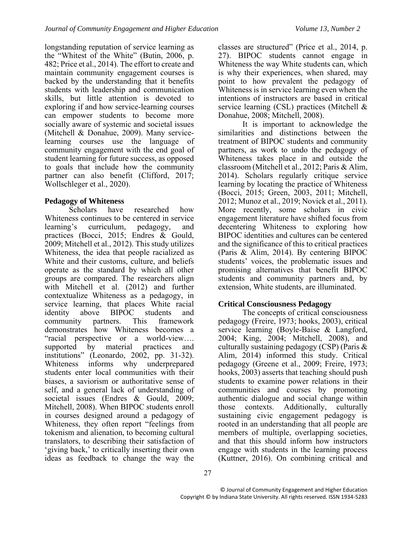longstanding reputation of service learning as the "Whitest of the White" (Butin, 2006, p. 482; Price et al., 2014). The effort to create and maintain community engagement courses is backed by the understanding that it benefits students with leadership and communication skills, but little attention is devoted to exploring if and how service-learning courses can empower students to become more socially aware of systemic and societal issues (Mitchell & Donahue, 2009). Many servicelearning courses use the language of community engagement with the end goal of student learning for future success, as opposed to goals that include how the community partner can also benefit (Clifford, 2017; Wollschleger et al., 2020).

# **Pedagogy of Whiteness**

Scholars have researched how Whiteness continues to be centered in service learning's curriculum, pedagogy, and practices (Bocci, 2015; Endres & Gould, 2009; Mitchell et al., 2012). This study utilizes Whiteness, the idea that people racialized as White and their customs, culture, and beliefs operate as the standard by which all other groups are compared. The researchers align with Mitchell et al. (2012) and further contextualize Whiteness as a pedagogy, in service learning, that places White racial<br>identity above BIPOC students and identity above BIPOC students and community partners. This framework demonstrates how Whiteness becomes a "racial perspective or a world-view....<br>supported by material practices and supported by material practices and institutions" (Leonardo, 2002, pp. 31-32). Whiteness informs why underprepared students enter local communities with their biases, a saviorism or authoritative sense of self, and a general lack of understanding of societal issues (Endres & Gould, 2009; Mitchell, 2008). When BIPOC students enroll in courses designed around a pedagogy of Whiteness, they often report "feelings from tokenism and alienation, to becoming cultural translators, to describing their satisfaction of 'giving back,' to critically inserting their own ideas as feedback to change the way the

classes are structured" (Price et al., 2014, p. 27). BIPOC students cannot engage in Whiteness the way White students can, which is why their experiences, when shared, may point to how prevalent the pedagogy of Whiteness is in service learning even when the intentions of instructors are based in critical service learning (CSL) practices (Mitchell & Donahue, 2008; Mitchell, 2008).

It is important to acknowledge the similarities and distinctions between the treatment of BIPOC students and community partners, as work to undo the pedagogy of Whiteness takes place in and outside the classroom (Mitchell et al., 2012; Paris & Alim, 2014). Scholars regularly critique service learning by locating the practice of Whiteness (Bocci, 2015; Green, 2003, 2011; Mitchell, 2012; Munoz et al., 2019; Novick et al., 2011). More recently, some scholars in civic engagement literature have shifted focus from decentering Whiteness to exploring how BIPOC identities and cultures can be centered and the significance of this to critical practices (Paris & Alim, 2014). By centering BIPOC students' voices, the problematic issues and promising alternatives that benefit BIPOC students and community partners and, by extension, White students, are illuminated.

# **Critical Consciousness Pedagogy**

The concepts of critical consciousness pedagogy (Freire, 1973; hooks, 2003), critical service learning (Boyle-Baise & Langford, 2004; King, 2004; Mitchell, 2008), and culturally sustaining pedagogy (CSP) (Paris & Alim, 2014) informed this study. Critical pedagogy (Greene et al., 2009; Freire, 1973; hooks, 2003) asserts that teaching should push students to examine power relations in their communities and courses by promoting authentic dialogue and social change within those contexts. Additionally, culturally sustaining civic engagement pedagogy is rooted in an understanding that all people are members of multiple, overlapping societies, and that this should inform how instructors engage with students in the learning process (Kuttner, 2016). On combining critical and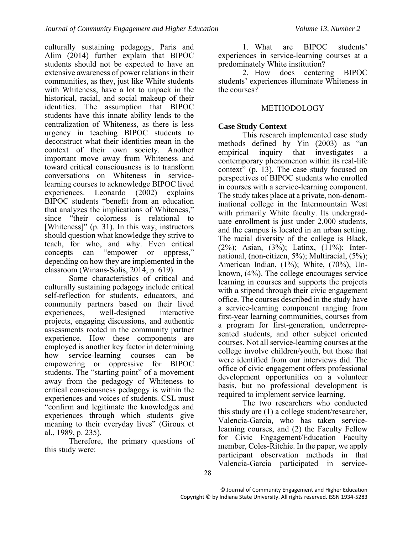culturally sustaining pedagogy, Paris and Alim (2014) further explain that BIPOC students should not be expected to have an extensive awareness of power relations in their communities, as they, just like White students with Whiteness, have a lot to unpack in the historical, racial, and social makeup of their identities. The assumption that BIPOC students have this innate ability lends to the centralization of Whiteness, as there is less urgency in teaching BIPOC students to deconstruct what their identities mean in the context of their own society. Another important move away from Whiteness and toward critical consciousness is to transform conversations on Whiteness in servicelearning courses to acknowledge BIPOC lived experiences. Leonardo (2002) explains BIPOC students "benefit from an education that analyzes the implications of Whiteness," since "their colorness is relational to [Whiteness]" (p. 31). In this way, instructors should question what knowledge they strive to teach, for who, and why. Even critical concepts can "empower or oppress," depending on how they are implemented in the classroom (Winans-Solis, 2014, p. 619).

Some characteristics of critical and culturally sustaining pedagogy include critical self-reflection for students, educators, and community partners based on their lived<br>experiences, well-designed interactive well-designed interactive projects, engaging discussions, and authentic assessments rooted in the community partner experience. How these components are employed is another key factor in determining how service-learning courses can be empowering or oppressive for BIPOC students. The "starting point" of a movement away from the pedagogy of Whiteness to critical consciousness pedagogy is within the experiences and voices of students. CSL must "confirm and legitimate the knowledges and experiences through which students give meaning to their everyday lives" (Giroux et al., 1989, p. 235).

Therefore, the primary questions of this study were:

1. What are BIPOC students' experiences in service-learning courses at a predominately White institution?

2. How does centering BIPOC students' experiences illuminate Whiteness in the courses?

## **METHODOLOGY**

## **Case Study Context**

This research implemented case study methods defined by Yin (2003) as "an empirical inquiry that investigates a contemporary phenomenon within its real-life context" (p. 13). The case study focused on perspectives of BIPOC students who enrolled in courses with a service-learning component. The study takes place at a private, non-denominational college in the Intermountain West with primarily White faculty. Its undergraduate enrollment is just under 2,000 students, and the campus is located in an urban setting. The racial diversity of the college is Black, (2%); Asian, (3%); Latinx, (11%); International, (non-citizen, 5%); Multiracial, (5%); American Indian, (1%); White, (70%), Unknown, (4%). The college encourages service learning in courses and supports the projects with a stipend through their civic engagement office. The courses described in the study have a service-learning component ranging from first-year learning communities, courses from a program for first-generation, underrepresented students, and other subject oriented courses. Not all service-learning courses at the college involve children/youth, but those that were identified from our interviews did. The office of civic engagement offers professional development opportunities on a volunteer basis, but no professional development is required to implement service learning.

The two researchers who conducted this study are (1) a college student/researcher, Valencia-Garcia, who has taken servicelearning courses, and (2) the Faculty Fellow for Civic Engagement/Education Faculty member, Coles-Ritchie. In the paper, we apply participant observation methods in that Valencia-Garcia participated in service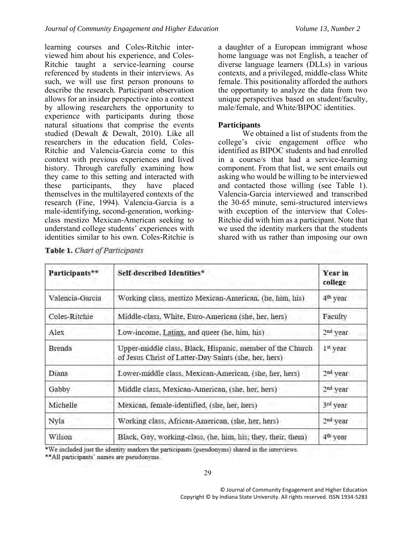learning courses and Coles-Ritchie interviewed him about his experience, and Coles-Ritchie taught a service-learning course referenced by students in their interviews. As such, we will use first person pronouns to describe the research. Participant observation allows for an insider perspective into a context by allowing researchers the opportunity to experience with participants during those natural situations that comprise the events studied (Dewalt & Dewalt, 2010). Like all researchers in the education field, Coles-Ritchie and Valencia-Garcia come to this context with previous experiences and lived history. Through carefully examining how they came to this setting and interacted with these participants, they have placed themselves in the multilayered contexts of the research (Fine, 1994). Valencia-Garcia is a male-identifying, second-generation, workingclass mestizo Mexican-American seeking to understand college students' experiences with identities similar to his own. Coles-Ritchie is

a daughter of a European immigrant whose home language was not English, a teacher of diverse language learners (DLLs) in various contexts, and a privileged, middle-class White female. This positionality afforded the authors the opportunity to analyze the data from two unique perspectives based on student/faculty, male/female, and White/BIPOC identities.

# **Participants**

We obtained a list of students from the college's civic engagement office who identified as BIPOC students and had enrolled in a course/s that had a service-learning component. From that list, we sent emails out asking who would be willing to be interviewed and contacted those willing (see Table 1). Valencia-Garcia interviewed and transcribed the 30-65 minute, semi-structured interviews with exception of the interview that Coles-Ritchie did with him as a participant. Note that we used the identity markers that the students shared with us rather than imposing our own

| Participants**  | Self-described Identities*                                                                                         | Year in<br>college   |
|-----------------|--------------------------------------------------------------------------------------------------------------------|----------------------|
| Valencia-Garcia | Working class, mestizo Mexican-American, (he, him, his)                                                            | 4 <sup>th</sup> year |
| Coles-Ritchie   | Middle-class, White, Euro-American (she, her, hers)                                                                | Faculty              |
| Alex            | Low-income, Latinx, and queer (he, him, his)                                                                       | 2 <sup>nd</sup> year |
| Brenda          | Upper-middle class, Black, Hispanic, member of the Church<br>of Jesus Christ of Latter-Day Saints (she, her, hers) | 1 <sup>st</sup> year |
| Diana           | Lower-middle class, Mexican-American, (she, her, hers)                                                             | 2 <sup>nd</sup> year |
| Gabby           | Middle class, Mexican-American, (she, her, hers)                                                                   | 2 <sup>nd</sup> year |
| Michelle        | Mexican, female-identified, (she, her, hers)                                                                       | 3rd year             |
| Nyla            | Working class, African-American, (she, her, hers)                                                                  | 2 <sup>nd</sup> year |
| Wilson          | Black. Gay, working-class, (he, him, his; they, their, them)                                                       | 4 <sup>th</sup> year |

Table 1. Chart of Participants

\*We included just the identity markers the participants (pseudonyms) shared in the interviews.

\*\* All participants' names are pseudonyms.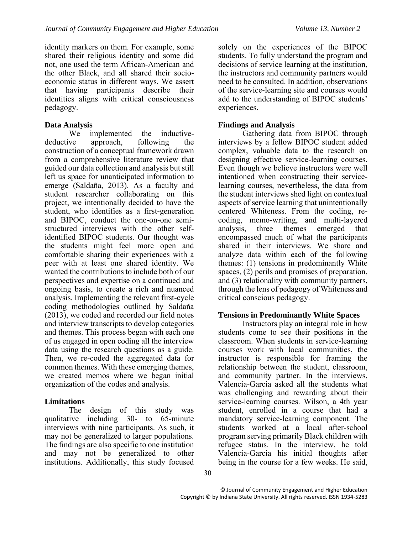identity markers on them. For example, some shared their religious identity and some did not, one used the term African-American and the other Black, and all shared their socioeconomic status in different ways. We assert that having participants describe their identities aligns with critical consciousness pedagogy.

# **Data Analysis**

We implemented the inductivedeductive approach, following the construction of a conceptual framework drawn from a comprehensive literature review that guided our data collection and analysis but still left us space for unanticipated information to emerge (Saldaña, 2013). As a faculty and student researcher collaborating on this project, we intentionally decided to have the student, who identifies as a first-generation and BIPOC, conduct the one-on-one semistructured interviews with the other selfidentified BIPOC students. Our thought was the students might feel more open and comfortable sharing their experiences with a peer with at least one shared identity. We wanted the contributions to include both of our perspectives and expertise on a continued and ongoing basis, to create a rich and nuanced analysis. Implementing the relevant first-cycle coding methodologies outlined by Saldaña (2013), we coded and recorded our field notes and interview transcripts to develop categories and themes. This process began with each one of us engaged in open coding all the interview data using the research questions as a guide. Then, we re-coded the aggregated data for common themes. With these emerging themes, we created memos where we began initial organization of the codes and analysis.

# **Limitations**

The design of this study was qualitative including 30- to 65-minute interviews with nine participants. As such, it may not be generalized to larger populations. The findings are also specific to one institution and may not be generalized to other institutions. Additionally, this study focused

solely on the experiences of the BIPOC students. To fully understand the program and decisions of service learning at the institution, the instructors and community partners would need to be consulted. In addition, observations of the service-learning site and courses would add to the understanding of BIPOC students' experiences.

# **Findings and Analysis**

Gathering data from BIPOC through interviews by a fellow BIPOC student added complex, valuable data to the research on designing effective service-learning courses. Even though we believe instructors were well intentioned when constructing their servicelearning courses, nevertheless, the data from the student interviews shed light on contextual aspects of service learning that unintentionally centered Whiteness. From the coding, recoding, memo-writing, and multi-layered analysis, three themes emerged that encompassed much of what the participants shared in their interviews. We share and analyze data within each of the following themes: (1) tensions in predominantly White spaces, (2) perils and promises of preparation, and (3) relationality with community partners, through the lens of pedagogy of Whiteness and critical conscious pedagogy.

# **Tensions in Predominantly White Spaces**

Instructors play an integral role in how students come to see their positions in the classroom. When students in service-learning courses work with local communities, the instructor is responsible for framing the relationship between the student, classroom, and community partner. In the interviews, Valencia-Garcia asked all the students what was challenging and rewarding about their service-learning courses. Wilson, a 4th year student, enrolled in a course that had a mandatory service-learning component. The students worked at a local after-school program serving primarily Black children with refugee status. In the interview, he told Valencia-Garcia his initial thoughts after being in the course for a few weeks. He said,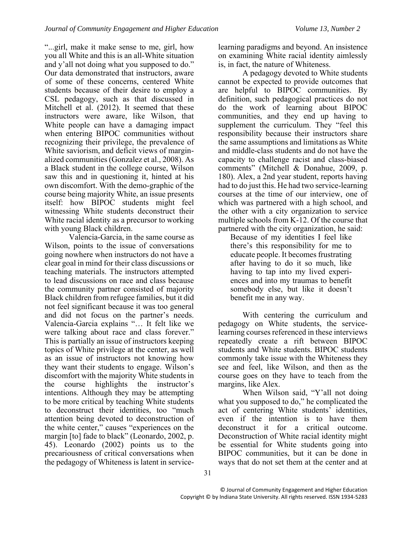"...girl, make it make sense to me, girl, how you all White and this is an all-White situation and y'all not doing what you supposed to do." Our data demonstrated that instructors, aware of some of these concerns, centered White students because of their desire to employ a CSL pedagogy, such as that discussed in Mitchell et al. (2012). It seemed that these instructors were aware, like Wilson, that White people can have a damaging impact when entering BIPOC communities without recognizing their privilege, the prevalence of White saviorism, and deficit views of marginalized communities (Gonzalez et al., 2008). As a Black student in the college course, Wilson saw this and in questioning it, hinted at his own discomfort. With the demo-graphic of the course being majority White, an issue presents itself: how BIPOC students might feel witnessing White students deconstruct their White racial identity as a precursor to working with young Black children.

Valencia-Garcia, in the same course as Wilson, points to the issue of conversations going nowhere when instructors do not have a clear goal in mind for their class discussions or teaching materials. The instructors attempted to lead discussions on race and class because the community partner consisted of majority Black children from refugee families, but it did not feel significant because it was too general and did not focus on the partner's needs. Valencia-Garcia explains "… It felt like we were talking about race and class forever." This is partially an issue of instructors keeping topics of White privilege at the center, as well as an issue of instructors not knowing how they want their students to engage. Wilson's discomfort with the majority White students in the course highlights the instructor's intentions. Although they may be attempting to be more critical by teaching White students to deconstruct their identities, too "much attention being devoted to deconstruction of the white center," causes "experiences on the margin [to] fade to black" (Leonardo, 2002, p. 45). Leonardo (2002) points us to the precariousness of critical conversations when the pedagogy of Whiteness is latent in servicelearning paradigms and beyond. An insistence on examining White racial identity aimlessly is, in fact, the nature of Whiteness.

A pedagogy devoted to White students cannot be expected to provide outcomes that are helpful to BIPOC communities. By definition, such pedagogical practices do not do the work of learning about BIPOC communities, and they end up having to supplement the curriculum. They "feel this responsibility because their instructors share the same assumptions and limitations as White and middle-class students and do not have the capacity to challenge racist and class-biased comments" (Mitchell & Donahue, 2009, p. 180). Alex, a 2nd year student, reports having had to do just this. He had two service-learning courses at the time of our interview, one of which was partnered with a high school, and the other with a city organization to service multiple schools from K-12. Of the course that partnered with the city organization, he said:

Because of my identities I feel like there's this responsibility for me to educate people. It becomes frustrating after having to do it so much, like having to tap into my lived experiences and into my traumas to benefit somebody else, but like it doesn't benefit me in any way.

With centering the curriculum and pedagogy on White students, the servicelearning courses referenced in these interviews repeatedly create a rift between BIPOC students and White students. BIPOC students commonly take issue with the Whiteness they see and feel, like Wilson, and then as the course goes on they have to teach from the margins, like Alex.

When Wilson said, "Y'all not doing what you supposed to do," he complicated the act of centering White students' identities, even if the intention is to have them deconstruct it for a critical outcome. Deconstruction of White racial identity might be essential for White students going into BIPOC communities, but it can be done in ways that do not set them at the center and at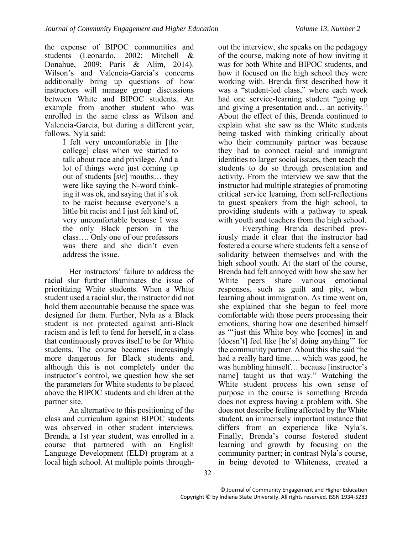the expense of BIPOC communities and students (Leonardo, 2002; Mitchell & Donahue, 2009; Paris & Alim, 2014). Wilson's and Valencia-Garcia's concerns additionally bring up questions of how instructors will manage group discussions between White and BIPOC students. An example from another student who was enrolled in the same class as Wilson and Valencia-Garcia, but during a different year, follows. Nyla said:

I felt very uncomfortable in [the college] class when we started to talk about race and privilege. And a lot of things were just coming up out of students [*sic*] mouths… they were like saying the N-word thinking it was ok, and saying that it's ok to be racist because everyone's a little bit racist and I just felt kind of, very uncomfortable because I was the only Black person in the class…. Only one of our professors was there and she didn't even address the issue.

Her instructors' failure to address the racial slur further illuminates the issue of prioritizing White students. When a White student used a racial slur, the instructor did not hold them accountable because the space was designed for them. Further, Nyla as a Black student is not protected against anti-Black racism and is left to fend for herself, in a class that continuously proves itself to be for White students. The course becomes increasingly more dangerous for Black students and, although this is not completely under the instructor's control, we question how she set the parameters for White students to be placed above the BIPOC students and children at the partner site.

An alternative to this positioning of the class and curriculum against BIPOC students was observed in other student interviews. Brenda, a 1st year student, was enrolled in a course that partnered with an English Language Development (ELD) program at a local high school. At multiple points through-

out the interview, she speaks on the pedagogy of the course, making note of how inviting it was for both White and BIPOC students, and how it focused on the high school they were working with. Brenda first described how it was a "student-led class," where each week had one service-learning student "going up and giving a presentation and… an activity." About the effect of this, Brenda continued to explain what she saw as the White students being tasked with thinking critically about who their community partner was because they had to connect racial and immigrant identities to larger social issues, then teach the students to do so through presentation and activity. From the interview we saw that the instructor had multiple strategies of promoting critical service learning, from self-reflections to guest speakers from the high school, to providing students with a pathway to speak with youth and teachers from the high school.

Everything Brenda described previously made it clear that the instructor had fostered a course where students felt a sense of solidarity between themselves and with the high school youth. At the start of the course, Brenda had felt annoyed with how she saw her White peers share various emotional responses, such as guilt and pity, when learning about immigration. As time went on, she explained that she began to feel more comfortable with those peers processing their emotions, sharing how one described himself as "'just this White boy who [comes] in and [doesn't] feel like [he's] doing anything" for the community partner. About this she said "he had a really hard time…. which was good, he was humbling himself… because [instructor's name] taught us that way." Watching the White student process his own sense of purpose in the course is something Brenda does not express having a problem with. She does not describe feeling affected by the White student, an immensely important instance that differs from an experience like Nyla's. Finally, Brenda's course fostered student learning and growth by focusing on the community partner; in contrast Nyla's course, in being devoted to Whiteness, created a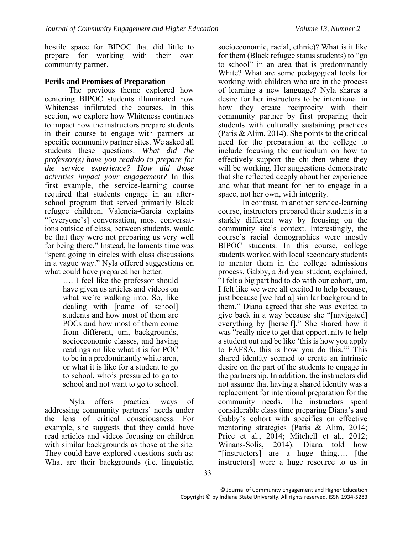hostile space for BIPOC that did little to prepare for working with their own community partner.

## **Perils and Promises of Preparation**

The previous theme explored how centering BIPOC students illuminated how Whiteness infiltrated the courses. In this section, we explore how Whiteness continues to impact how the instructors prepare students in their course to engage with partners at specific community partner sites. We asked all students these questions: *What did the professor(s) have you read/do to prepare for the service experience? How did those activities impact your engagement?* In this first example, the service-learning course required that students engage in an afterschool program that served primarily Black refugee children. Valencia-Garcia explains "[everyone's] conversation, most conversations outside of class, between students, would be that they were not preparing us very well for being there." Instead, he laments time was "spent going in circles with class discussions in a vague way." Nyla offered suggestions on what could have prepared her better:

…. I feel like the professor should have given us articles and videos on what we're walking into. So, like dealing with [name of school] students and how most of them are POCs and how most of them come from different, um, backgrounds, socioeconomic classes, and having readings on like what it is for POC to be in a predominantly white area, or what it is like for a student to go to school, who's pressured to go to school and not want to go to school.

Nyla offers practical ways of addressing community partners' needs under the lens of critical consciousness. For example, she suggests that they could have read articles and videos focusing on children with similar backgrounds as those at the site. They could have explored questions such as: What are their backgrounds (i.e. linguistic,

socioeconomic, racial, ethnic)? What is it like for them (Black refugee status students) to "go to school" in an area that is predominantly White? What are some pedagogical tools for working with children who are in the process of learning a new language? Nyla shares a desire for her instructors to be intentional in how they create reciprocity with their community partner by first preparing their students with culturally sustaining practices (Paris & Alim, 2014). She points to the critical need for the preparation at the college to include focusing the curriculum on how to effectively support the children where they will be working. Her suggestions demonstrate that she reflected deeply about her experience and what that meant for her to engage in a space, not her own, with integrity.

In contrast, in another service-learning course, instructors prepared their students in a starkly different way by focusing on the community site's context. Interestingly, the course's racial demographics were mostly BIPOC students. In this course, college students worked with local secondary students to mentor them in the college admissions process. Gabby, a 3rd year student, explained, "I felt a big part had to do with our cohort, um, I felt like we were all excited to help because, just because [we had a] similar background to them." Diana agreed that she was excited to give back in a way because she "[navigated] everything by [herself]." She shared how it was "really nice to get that opportunity to help a student out and be like 'this is how you apply to FAFSA, this is how you do this.'" This shared identity seemed to create an intrinsic desire on the part of the students to engage in the partnership. In addition, the instructors did not assume that having a shared identity was a replacement for intentional preparation for the community needs. The instructors spent considerable class time preparing Diana's and Gabby's cohort with specifics on effective mentoring strategies (Paris & Alim, 2014; Price et al., 2014; Mitchell et al., 2012; Winans-Solis, 2014). Diana told how "[instructors] are a huge thing…. [the instructors] were a huge resource to us in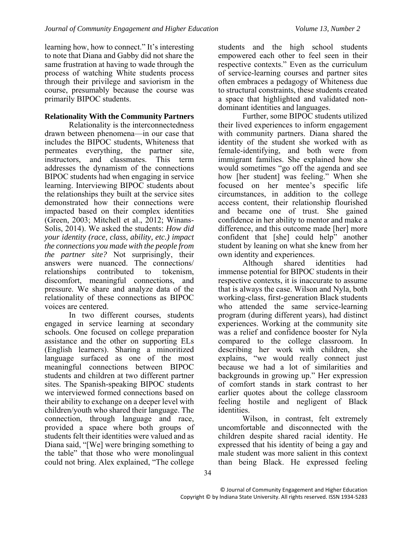learning how, how to connect." It's interesting to note that Diana and Gabby did not share the same frustration at having to wade through the process of watching White students process through their privilege and saviorism in the course, presumably because the course was primarily BIPOC students.

# **Relationality With the Community Partners**

Relationality is the interconnectedness drawn between phenomena—in our case that includes the BIPOC students, Whiteness that permeates everything, the partner site,<br>instructors, and classmates. This term and classmates. This term addresses the dynamism of the connections BIPOC students had when engaging in service learning. Interviewing BIPOC students about the relationships they built at the service sites demonstrated how their connections were impacted based on their complex identities (Green, 2003; Mitchell et al., 2012; Winans-Solis, 2014). We asked the students: *How did your identity (race, class, ability, etc.) impact the connections you made with the people from the partner site?* Not surprisingly, their answers were nuanced. The connections/ relationships contributed to tokenism, discomfort, meaningful connections, and pressure. We share and analyze data of the relationality of these connections as BIPOC voices are centered.

In two different courses, students engaged in service learning at secondary schools. One focused on college preparation assistance and the other on supporting ELs (English learners). Sharing a minoritized language surfaced as one of the most meaningful connections between BIPOC students and children at two different partner sites. The Spanish-speaking BIPOC students we interviewed formed connections based on their ability to exchange on a deeper level with children/youth who shared their language. The connection, through language and race, provided a space where both groups of students felt their identities were valued and as Diana said, "[We] were bringing something to the table" that those who were monolingual could not bring. Alex explained, "The college

students and the high school students empowered each other to feel seen in their respective contexts." Even as the curriculum of service-learning courses and partner sites often embraces a pedagogy of Whiteness due to structural constraints, these students created a space that highlighted and validated nondominant identities and languages.

Further, some BIPOC students utilized their lived experiences to inform engagement with community partners. Diana shared the identity of the student she worked with as female-identifying, and both were from immigrant families. She explained how she would sometimes "go off the agenda and see how [her student] was feeling." When she focused on her mentee's specific life circumstances, in addition to the college access content, their relationship flourished and became one of trust. She gained confidence in her ability to mentor and make a difference, and this outcome made [her] more confident that [she] could help" another student by leaning on what she knew from her

own identity and experiences.<br>Although shared shared identities had immense potential for BIPOC students in their respective contexts, it is inaccurate to assume that is always the case. Wilson and Nyla, both working-class, first-generation Black students who attended the same service-learning program (during different years), had distinct experiences. Working at the community site was a relief and confidence booster for Nyla compared to the college classroom. In describing her work with children, she explains, "we would really connect just because we had a lot of similarities and backgrounds in growing up." Her expression of comfort stands in stark contrast to her earlier quotes about the college classroom feeling hostile and negligent of Black identities.

Wilson, in contrast, felt extremely uncomfortable and disconnected with the children despite shared racial identity. He expressed that his identity of being a gay and male student was more salient in this context than being Black. He expressed feeling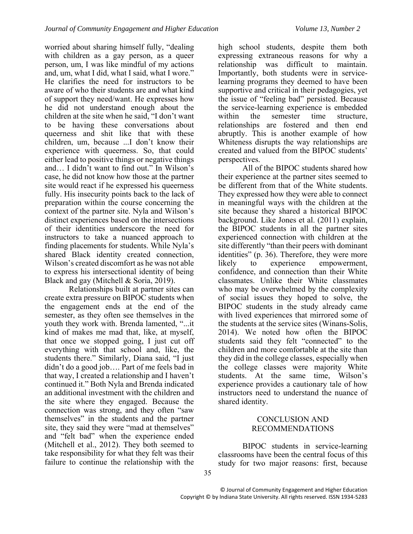worried about sharing himself fully, "dealing with children as a gay person, as a queer person, um, I was like mindful of my actions and, um, what I did, what I said, what I wore." He clarifies the need for instructors to be aware of who their students are and what kind of support they need/want. He expresses how he did not understand enough about the children at the site when he said, "I don't want to be having these conversations about queerness and shit like that with these children, um, because ...I don't know their experience with queerness. So, that could either lead to positive things or negative things and… I didn't want to find out." In Wilson's case, he did not know how those at the partner site would react if he expressed his queerness fully. His insecurity points back to the lack of preparation within the course concerning the context of the partner site. Nyla and Wilson's distinct experiences based on the intersections of their identities underscore the need for instructors to take a nuanced approach to finding placements for students. While Nyla's shared Black identity created connection, Wilson's created discomfort as he was not able to express his intersectional identity of being Black and gay (Mitchell & Soria, 2019).

Relationships built at partner sites can create extra pressure on BIPOC students when the engagement ends at the end of the semester, as they often see themselves in the youth they work with. Brenda lamented, "...it kind of makes me mad that, like, at myself, that once we stopped going, I just cut off everything with that school and, like, the students there." Similarly, Diana said, "I just didn't do a good job…. Part of me feels bad in that way, I created a relationship and I haven't continued it." Both Nyla and Brenda indicated an additional investment with the children and the site where they engaged. Because the connection was strong, and they often "saw themselves" in the students and the partner site, they said they were "mad at themselves" and "felt bad" when the experience ended (Mitchell et al., 2012). They both seemed to take responsibility for what they felt was their failure to continue the relationship with the

high school students, despite them both expressing extraneous reasons for why a relationship was difficult to maintain. Importantly, both students were in servicelearning programs they deemed to have been supportive and critical in their pedagogies, yet the issue of "feeling bad" persisted. Because the service-learning experience is embedded within the semester time structure relationships are fostered and then end abruptly. This is another example of how Whiteness disrupts the way relationships are created and valued from the BIPOC students' perspectives.

All of the BIPOC students shared how their experience at the partner sites seemed to be different from that of the White students. They expressed how they were able to connect in meaningful ways with the children at the site because they shared a historical BIPOC background. Like Jones et al. (2011) explain, the BIPOC students in all the partner sites experienced connection with children at the site differently "than their peers with dominant identities" (p. 36). Therefore, they were more likely to experience empowerment, confidence, and connection than their White classmates. Unlike their White classmates who may be overwhelmed by the complexity of social issues they hoped to solve, the BIPOC students in the study already came with lived experiences that mirrored some of the students at the service sites (Winans-Solis, 2014). We noted how often the BIPOC students said they felt "connected" to the children and more comfortable at the site than they did in the college classes, especially when the college classes were majority White students. At the same time, Wilson's experience provides a cautionary tale of how instructors need to understand the nuance of shared identity.

# CONCLUSION AND RECOMMENDATIONS

BIPOC students in service-learning classrooms have been the central focus of this study for two major reasons: first, because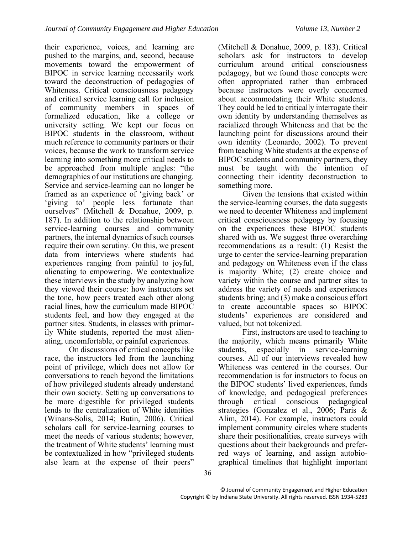their experience, voices, and learning are pushed to the margins, and, second, because movements toward the empowerment of BIPOC in service learning necessarily work toward the deconstruction of pedagogies of Whiteness. Critical consciousness pedagogy and critical service learning call for inclusion of community members in spaces of formalized education, like a college or university setting. We kept our focus on BIPOC students in the classroom, without much reference to community partners or their voices, because the work to transform service learning into something more critical needs to be approached from multiple angles: "the demographics of our institutions are changing. Service and service-learning can no longer be framed as an experience of 'giving back' or 'giving to' people less fortunate than ourselves" (Mitchell & Donahue, 2009, p. 187). In addition to the relationship between service-learning courses and community partners, the internal dynamics of such courses require their own scrutiny. On this, we present data from interviews where students had experiences ranging from painful to joyful, alienating to empowering. We contextualize these interviews in the study by analyzing how they viewed their course: how instructors set the tone, how peers treated each other along racial lines, how the curriculum made BIPOC students feel, and how they engaged at the partner sites. Students, in classes with primarily White students, reported the most alienating, uncomfortable, or painful experiences.

On discussions of critical concepts like race, the instructors led from the launching point of privilege, which does not allow for conversations to reach beyond the limitations of how privileged students already understand their own society. Setting up conversations to be more digestible for privileged students lends to the centralization of White identities (Winans-Solis, 2014; Butin, 2006). Critical scholars call for service-learning courses to meet the needs of various students; however, the treatment of White students' learning must be contextualized in how "privileged students also learn at the expense of their peers"

(Mitchell & Donahue, 2009, p. 183). Critical scholars ask for instructors to develop curriculum around critical consciousness pedagogy, but we found those concepts were often appropriated rather than embraced because instructors were overly concerned about accommodating their White students. They could be led to critically interrogate their own identity by understanding themselves as racialized through Whiteness and that be the launching point for discussions around their own identity (Leonardo, 2002). To prevent from teaching White students at the expense of BIPOC students and community partners, they must be taught with the intention of connecting their identity deconstruction to something more.

Given the tensions that existed within the service-learning courses, the data suggests we need to decenter Whiteness and implement critical consciousness pedagogy by focusing on the experiences these BIPOC students shared with us. We suggest three overarching recommendations as a result: (1) Resist the urge to center the service-learning preparation and pedagogy on Whiteness even if the class is majority White; (2) create choice and variety within the course and partner sites to address the variety of needs and experiences students bring; and (3) make a conscious effort to create accountable spaces so BIPOC students' experiences are considered and valued, but not tokenized.

First, instructors are used to teaching to the majority, which means primarily White students, especially in service-learning courses. All of our interviews revealed how Whiteness was centered in the courses. Our recommendation is for instructors to focus on the BIPOC students' lived experiences, funds of knowledge, and pedagogical preferences through critical conscious pedagogical strategies (Gonzalez et al., 2006; Paris & Alim, 2014). For example, instructors could implement community circles where students share their positionalities, create surveys with questions about their backgrounds and preferred ways of learning, and assign autobiographical timelines that highlight important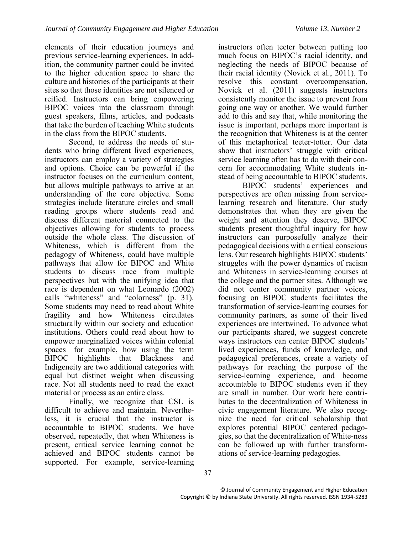elements of their education journeys and previous service-learning experiences. In addition, the community partner could be invited to the higher education space to share the culture and histories of the participants at their sites so that those identities are not silenced or reified. Instructors can bring empowering BIPOC voices into the classroom through guest speakers, films, articles, and podcasts that take the burden of teaching White students in the class from the BIPOC students.

Second, to address the needs of students who bring different lived experiences, instructors can employ a variety of strategies and options. Choice can be powerful if the instructor focuses on the curriculum content, but allows multiple pathways to arrive at an understanding of the core objective. Some strategies include literature circles and small reading groups where students read and discuss different material connected to the objectives allowing for students to process outside the whole class. The discussion of Whiteness, which is different from the pedagogy of Whiteness, could have multiple pathways that allow for BIPOC and White students to discuss race from multiple perspectives but with the unifying idea that race is dependent on what Leonardo (2002) calls "whiteness" and "colorness" (p. 31). Some students may need to read about White fragility and how Whiteness circulates structurally within our society and education institutions. Others could read about how to empower marginalized voices within colonial spaces—for example, how using the term BIPOC highlights that Blackness and Indigeneity are two additional categories with equal but distinct weight when discussing race. Not all students need to read the exact material or process as an entire class.

Finally, we recognize that CSL is difficult to achieve and maintain. Nevertheless, it is crucial that the instructor is accountable to BIPOC students. We have observed, repeatedly, that when Whiteness is present, critical service learning cannot be achieved and BIPOC students cannot be supported. For example, service-learning

instructors often teeter between putting too much focus on BIPOC's racial identity, and neglecting the needs of BIPOC because of their racial identity (Novick et al., 2011). To resolve this constant overcompensation, Novick et al. (2011) suggests instructors consistently monitor the issue to prevent from going one way or another. We would further add to this and say that, while monitoring the issue is important, perhaps more important is the recognition that Whiteness is at the center of this metaphorical teeter-totter. Our data show that instructors' struggle with critical service learning often has to do with their concern for accommodating White students instead of being accountable to BIPOC students.

BIPOC students' experiences and perspectives are often missing from servicelearning research and literature. Our study demonstrates that when they are given the weight and attention they deserve, BIPOC students present thoughtful inquiry for how instructors can purposefully analyze their pedagogical decisions with a critical conscious lens. Our research highlights BIPOC students' struggles with the power dynamics of racism and Whiteness in service-learning courses at the college and the partner sites. Although we did not center community partner voices, focusing on BIPOC students facilitates the transformation of service-learning courses for community partners, as some of their lived experiences are intertwined. To advance what our participants shared, we suggest concrete ways instructors can center BIPOC students' lived experiences, funds of knowledge, and pedagogical preferences, create a variety of pathways for reaching the purpose of the service-learning experience, and become accountable to BIPOC students even if they are small in number. Our work here contributes to the decentralization of Whiteness in civic engagement literature. We also recognize the need for critical scholarship that explores potential BIPOC centered pedagogies, so that the decentralization of White-ness can be followed up with further transformations of service-learning pedagogies.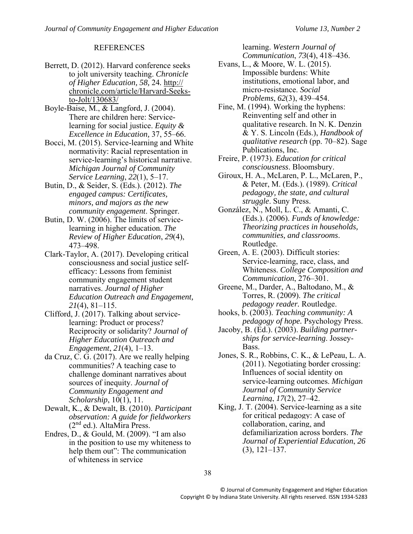#### **REFERENCES**

- Berrett, D. (2012). Harvard conference seeks to jolt university teaching. *Chronicle of Higher Education, 58,* 24*.* http:// chronicle.com/article/Harvard-Seeksto-Jolt/130683/
- Boyle-Baise, M., & Langford, J. (2004). There are children here: Servicelearning for social justice. *Equity & Excellence in Education,* 37, 55–66.
- Bocci, M. (2015). Service-learning and White normativity: Racial representation in service-learning's historical narrative. *Michigan Journal of Community Service Learning*, *22*(1), 5–17.
- Butin, D., & Seider, S. (Eds.). (2012). *The engaged campus: Certificates, minors, and majors as the new community engagement*. Springer.
- Butin, D. W. (2006). The limits of servicelearning in higher education. *The Review of Higher Education*, *29*(4), 473–498.
- Clark-Taylor, A. (2017). Developing critical consciousness and social justice selfefficacy: Lessons from feminist community engagement student narratives. *Journal of Higher Education Outreach and Engagement, 21*(4), 81–115.
- Clifford, J. (2017). Talking about servicelearning: Product or process? Reciprocity or solidarity? *Journal of Higher Education Outreach and Engagement*, *21*(4), 1–13.
- da Cruz, C. G. (2017). Are we really helping communities? A teaching case to challenge dominant narratives about sources of inequity. *Journal of Community Engagement and Scholarship*, 10(1), 11.
- Dewalt, K., & Dewalt, B. (2010). *Participant observation: A guide for fieldworkers* (2nd ed.). AltaMira Press.
- Endres, D., & Gould, M. (2009). "I am also in the position to use my whiteness to help them out": The communication of whiteness in service

learning. *Western Journal of Communication*, *73*(4), 418–436.

- Evans, L., & Moore, W. L. (2015). Impossible burdens: White institutions, emotional labor, and micro-resistance. *Social Problems*, *62*(3), 439–454.
- Fine, M. (1994). Working the hyphens: Reinventing self and other in qualitative research. In N. K. Denzin & Y. S. Lincoln (Eds.), *Handbook of qualitative research* (pp. 70–82). Sage Publications, Inc.
- Freire, P. (1973). *Education for critical consciousness*. Bloomsbury.
- Giroux, H. A., McLaren, P. L., McLaren, P., & Peter, M. (Eds.). (1989). *Critical pedagogy, the state, and cultural struggle*. Suny Press.
- González, N., Moll, L. C., & Amanti, C. (Eds.). (2006). *Funds of knowledge: Theorizing practices in households, communities, and classrooms*. Routledge.
- Green, A. E. (2003). Difficult stories: Service-learning, race, class, and Whiteness. *College Composition and Communication*, 276–301.
- Greene, M., Darder, A., Baltodano, M., & Torres, R. (2009). *The critical pedagogy reader.* Routledge.
- hooks, b. (2003). *Teaching community: A pedagogy of hope.* Psychology Press.
- Jacoby, B. (Ed.). (2003). *Building partnerships for service-learning*. Jossey-Bass.
- Jones, S. R., Robbins, C. K., & LePeau, L. A. (2011). Negotiating border crossing: Influences of social identity on service-learning outcomes. *Michigan Journal of Community Service Learning*, *17*(2), 27–42.
- King, J. T. (2004). Service-learning as a site for critical pedagogy: A case of collaboration, caring, and defamiliarization across borders. *The Journal of Experiential Education*, *26* (3), 121–137.

38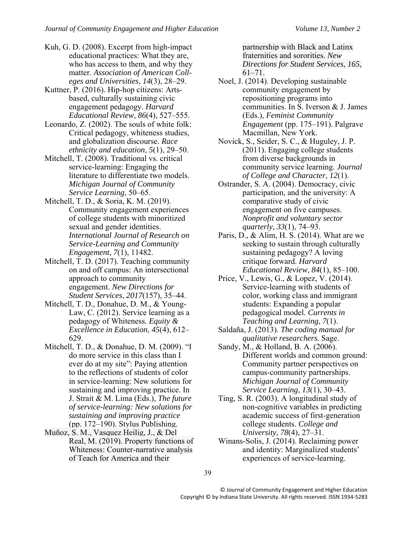- Kuh, G. D. (2008). Excerpt from high-impact educational practices: What they are, who has access to them, and why they matter. *Association of American Colleges and Universities*, *14*(3), 28–29.
- Kuttner, P. (2016). Hip-hop citizens: Artsbased, culturally sustaining civic engagement pedagogy. *Harvard Educational Review, 86*(4), 527–555.
- Leonardo, Z. (2002). The souls of white folk: Critical pedagogy, whiteness studies, and globalization discourse. *Race ethnicity and education*, *5*(1), 29–50.
- Mitchell, T. (2008). Traditional vs. critical service-learning: Engaging the literature to differentiate two models. *Michigan Journal of Community Service Learning*, 50–65.
- Mitchell, T. D., & Soria, K. M. (2019). Community engagement experiences of college students with minoritized sexual and gender identities. *International Journal of Research on Service-Learning and Community Engagement*, *7*(1), 11482.
- Mitchell, T. D. (2017). Teaching community on and off campus: An intersectional approach to community engagement. *New Directions for Student Services*, *2017*(157), 35–44.
- Mitchell, T. D., Donahue, D. M., & Young-Law, C. (2012). Service learning as a pedagogy of Whiteness. *Equity & Excellence in Education*, *45*(4), 612– 629.
- Mitchell, T. D., & Donahue, D. M. (2009). "I do more service in this class than I ever do at my site": Paying attention to the reflections of students of color in service-learning: New solutions for sustaining and improving practice. In J. Strait & M. Lima (Eds.), *The future of service-learning: New solutions for sustaining and improving practice* (pp. 172–190). Stylus Publishing.
- Muñoz, S. M., Vasquez Heilig, J., & Del Real, M. (2019). Property functions of Whiteness: Counter-narrative analysis of Teach for America and their

partnership with Black and Latinx fraternities and sororities. *New Directions for Student Services*, *165*, 61–71.

- Noel, J. (2014). Developing sustainable community engagement by repositioning programs into communities. In S. Iverson & J. James (Eds.), *Feminist Community Engagement* (pp. 175–191). Palgrave Macmillan, New York.
- Novick, S., Seider, S. C., & Huguley, J. P. (2011). Engaging college students from diverse backgrounds in community service learning. *Journal of College and Character*, *12*(1).
- Ostrander, S. A. (2004). Democracy, civic participation, and the university: A comparative study of civic engagement on five campuses. *Nonprofit and voluntary sector quarterly*, *33*(1), 74–93.
- Paris, D., & Alim, H. S. (2014). What are we seeking to sustain through culturally sustaining pedagogy? A loving critique forward. *Harvard Educational Review, 84*(1), 85–100.
- Price, V., Lewis, G., & Lopez, V. (2014). Service-learning with students of color, working class and immigrant students: Expanding a popular pedagogical model. *Currents in Teaching and Learning*, *7*(1).
- Saldaña, J. (2013). *The coding manual for qualitative researchers.* Sage.
- Sandy, M., & Holland, B. A. (2006). Different worlds and common ground: Community partner perspectives on campus-community partnerships. *Michigan Journal of Community Service Learning*, *13*(1), 30–43.
- Ting, S. R. (2003). A longitudinal study of non-cognitive variables in predicting academic success of first-generation college students. *College and University, 78*(4), 27–31.
- Winans-Solis, J. (2014). Reclaiming power and identity: Marginalized students' experiences of service-learning.